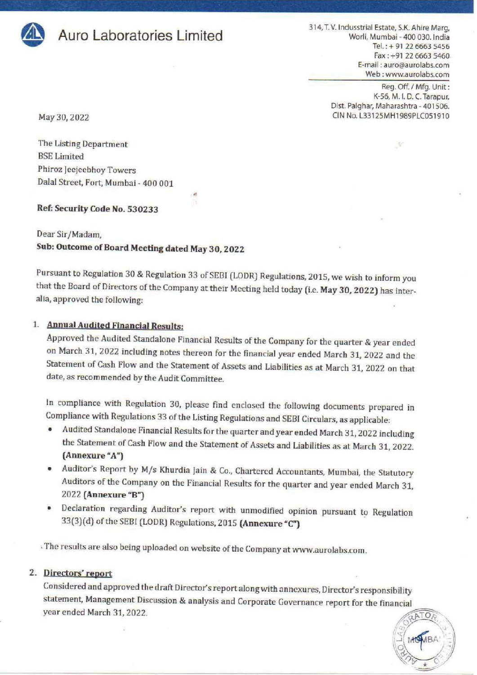

314, T. V. Indusstrial Estate, S.K. Ahire Marg, **Auro Laboratories Limited** 314, T. V. Indusstrial Estate, S.K. Ahire Marg, Tel.: + 91 22 6663 5456 Fax: +91 22 6663 5460 E-mail : auro@aurolabs.com Web : www.aurolabs.com

Reg. Off. / Mfg. Unit : K-56, M. |. D. C. Tarapur, Dist. Palghar, Maharashtra - 401506. May 30, 2022 2003 2009 2010 2022 2022 2023 2024 2022 2023 2024 2022 2023 2024 2022 2023 2022 2023 2022 2023 2024 2022 2023 2022 2023 2022 2023 2024 2022 2023 2024 2022 2023 2024 2022 2023 2024 2022 2023 2024 2022 2023 2024

The Listing Department BSE Limited Phiroz Jeejeebhoy Towers Dalal Street, Fort, Mumbai - 400 001

#### Ref: Security Code No. 530233

Dear Sir/Madam, Sub: Outcome of Board Meeting dated May 30, 2022

Pursuant to Regulation 30 & Regulation 33 of SEBI (LODR) Regulations, 2015, we wish to inform you<br>that the Board of Directors of the Company at their Meeting held today (i.e. May 30, 2022) has inter-<br>alia, approved the fol

1. Annual Audited Financial Results:<br>Approved the Audited Standalone Financial Results of the Company for the quarter & year ended on March 31, 2022 including notes thereon for the financial year ended March 31, 2022 and the Statement of Cash Flow and the Statement of Assets and Liabilities as at March 31, 2022 on that date, as recommended by the Audit Committee.

In compliance with Regulation 30, please find enclosed the following documents prepared in Compliance with Regulations 33 of the Listing Regulations and SEBI Circulars, as applicable:<br>• Audited Standalone Financial Results

- ¢ Audited Standalone Financial Results for the quarter and year ended March 31, 2022 including the Statement of Cash Flow and the Statement of Assets and Liabilities as at March 31, 2022. (Annexure "A") e Statement of Assets and Liabilities as at<br>udit Committee.<br>1 30, please find enclosed the following<br>3 of the Listing Regulations and SEBI Circul<br>ial Results for the quarter and year ended N<br>v and the Statement of Assets a
- Auditor's Report by M/s Khurdia Jain & Co., Chartered Accountants, Mumbai, the Statutory Auditors of the Company on the Financial Results for the quarter and year ended March 31, 2022 (Annexure "B")
- Declaration regarding Auditor's report with unmodified opinion pursuant to Regulation 33(3)(d) of the SEBI (LODR) Regulations, 2015 (Annexure "C")

: The results are also being uploaded on website of the Company at www.aurolabs.com.

#### 2. Directors' report

Considered and approved the draft Director's report along with annexures, Director's responsibility<br>statement, Management Discussion & analysis and Corporate Governance report for the financial<br>year ended March 31, 2022.

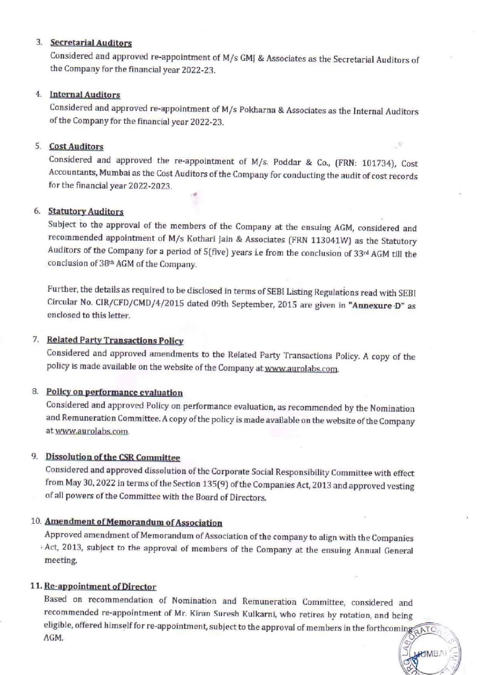#### 3. **Secretarial Auditors**

Considered and approved re-appointment of M/s GM] & Associates as the Secretarial Auditors of the Company for the financial year 2022-23.

#### 4. Internal Auditors

Considered and approved re-appointment of M/s Pokharna & Associates as the Internal Auditors of the Company for the financial year 2022-23.

#### 5. Cost Auditors

Considered and approved the re-appointment of M/s. Poddar & Co, (FRN: 101734), Cost Accountants, Mumbai as the Cost Auditors of the Company for conducting the audit of cost records for the financial year 2022-2023.

a

#### 6. Statutory Auditors

Subject to the approval of the members of the Company at the ensuing AGM, considered and recommended appointment of M/s Kothari Jain & Associates (FRN 113041W) as the Statutory Auditors of the Company for a period of 5(five) years i.e from the conclusion of 33<sup>rd</sup> AGM till the conclusion of 38<sup>th</sup> AGM of the Company.

Further, the details as required to be disclosed in terms of SEBI Listing Regulations read with SEBI Circular No. CIR/CFD/CMD/4/2015 dated 09th September, 2015 are given in "Annexure D" as enclosed to this letter.

#### 7. Related Party Transactions Policy

Considered and approved amendments to the Related Party Transactions Policy. A copy of the policy is made available on the website of the Company at www.aurolabs.com.

#### 8. Policy on performance evaluation

Considered and approved Policy on performance evaluation, as recommended by the Nomination and Remuneration Committee. A copy of the policy is made available on the website of the Company at www.aurolabs.com.

#### 9. Dissolution of the CSR Committee

Considered and approved dissolution of the Corporate Social Responsibility Committee with effect from May 30, 2022 in terms of the Section 135(9) of the Companies Act, 2013 and approved vesting of all powers of the Committee with the Board of Directors.

#### 10. Amendment of Memorandum of Associatio

Approved amendment of Memorandum of Association of the company to align with the Companies 'Act, 2013, subject to the approval of members of the Company at the ensuing Annual General meeting.

#### 11. Re-appoin!

Based on recommendation of Nomination and Remuneration Committee, considered and<br>recommended re-appointment of Mr. Kiran Suresh Kulkarni, who retires by rotation, and being eligible, offered himself for re-appointment, subject to the approval of members in the forthcoming a ATO, AGM.

HUMBA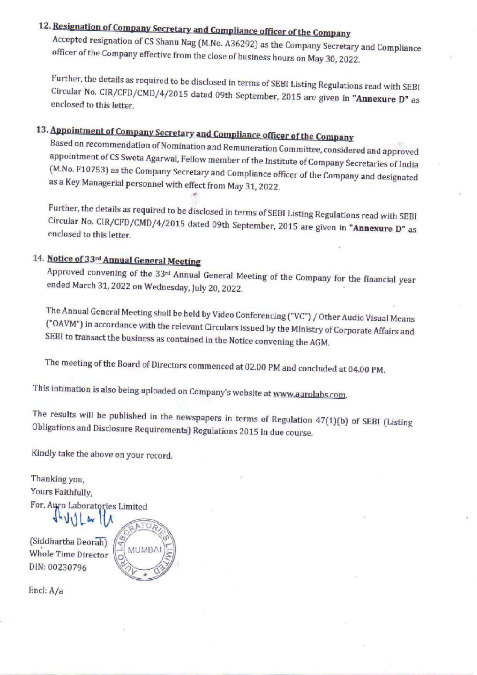# 12. Resignation of Company Secretary and Compliance officer of the Company

Accepted resignation of CS Shanu Nag (M.No. A36292) as the Company Secretary and Compliance<br>officer of the Company effective from the close of business hours on May 30, 2022.

Circular No. CIR/CFD/CMD/4/2015 dated 09th September, 2015 are given in "Annexure D" as enclosed to this letter Further, the details as required to be disclosed in terms of SEBI Listing Regulations read with SEBI<br>Circular No. CIR/CFD/CMD/4/2015 dated 09th September, 2015 are given in **"Annexure D"** as<br>enclosed to this letter.<br>**Appoi** 

# 13. Appointment of Company Secretary and Compliance officer of the Company

appointment of CS Sweta Agarwal, Fellow member of the Institute of Company Secretaries of India<br>(M.No. F10753) as the Company Secretary and Compliance officer of the Company and designated<br>as a Key Managerial personnel wit to be disclosed in terms of SEBI Listing Regulations read with SEBI<br>2015 dated 09th September, 2015 are given in **"Amexure 10"** as<br>**retary and Compliance officer of the Company<br>minicipanal Remuneration Committee, considere** 

Further, the details as required to be disclosed in terms of SEBI Listing Regulations read with SEBI Circular No. CIR/CFD/CMD/4/2015 dated 09th September, 2015 are given in "Annexure D" as enclosed to this letter.

#### 14. Notice of 33rd Annual Genera

Approved convening of the 33<sup>rd</sup> Annual General Meeting of the Company for the financial year ended March 31, 2022 on Wednesday, July 20, 2022.

The Annual General Meeting shall be held by Video Conferencing ("VC") / Other Audio Visual Means<br>("OAVM") in accordance with the relevant Circulars issued by the Ministry of Corporate Affairs and<br>SEBI to transact the busin

The meeting of the Board of Directors commenced at 02.00 PM and concluded at 04.00 PM.

This intimation is also being uploaded on Company's website at www.aurolabs.com.

The results will be published in the newspapers in terms of Regulation 47(1)(b) of SEBI (Listing Obligations and Disclosure Requirements) Regulations 2015 in due course.

Kindly take the above on your record.

Thanking you, Yours Faithfully, For, Auro Laboratories Limited  $\bigcup_{\mathbf{w}} \mathbf{w} \bigcup_{\mathbf{w}} \mathbf{w}$ 

 $\frac{1}{a}$ (Siddhartha Deorah) Whole Time Director DIN: 00230796



Encl: A/a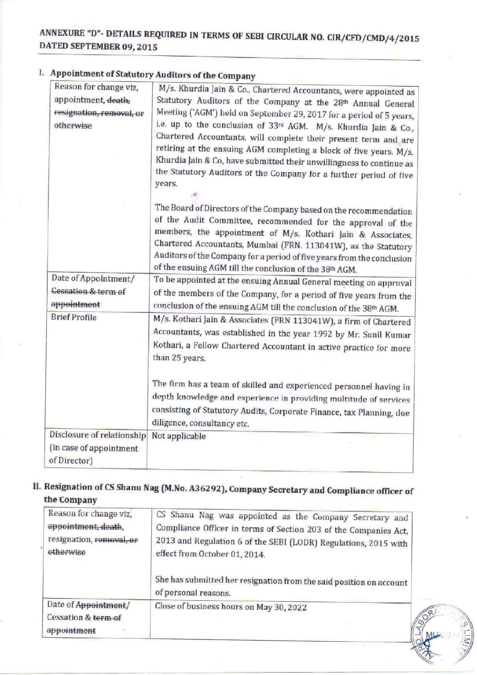# ANNEXURE "D"- DETAILS REQUIRED IN TERMS OF SEBI CIRCULAR NO. CIR/CFD/CMD/4,/2015 ANNEXURE "D" - DET<br>DATED SEPTEMBER DATED SEPTEMBER 09, 2015 NEXURE "D"- DETAILS REQUIRED IN TERMS (TED SEPTEMBER 09, 2015)

### I. Appointment of Statutory Auditors of the Company

|                                | <b>ANNEXURE "D"- DETAILS REQUIRED IN TERMS OF SEBI CIRCULAR NO. CIR/CFD/CMD/4/2015</b>                                                |
|--------------------------------|---------------------------------------------------------------------------------------------------------------------------------------|
| DATED SEPTEMBER 09, 2015       |                                                                                                                                       |
|                                |                                                                                                                                       |
|                                | Appointment of Statutory Auditors of the Company                                                                                      |
| Reason for change viz.         | M/s. Khurdia Jain & Co., Chartered Accountants, were appointed as                                                                     |
| appointment, death,            | Statutory Auditors of the Company at the 28th Annual General                                                                          |
| resignation, removal, or       | Meeting ('AGM') held on September 29, 2017 for a period of 5 years,                                                                   |
| otherwise                      | i.e. up to the conclusion of 33rd AGM. M/s. Khurdia Jain & Co.,                                                                       |
|                                | Chartered Accountants, will complete their present term and are<br>retiring at the ensuing AGM completing a block of five years. M/s. |
|                                | Khurdia Jain & Co, have submitted their unwillingness to continue as                                                                  |
|                                | the Statutory Auditors of the Company for a further period of five                                                                    |
|                                | years.                                                                                                                                |
|                                |                                                                                                                                       |
|                                | The Board of Directors of the Company based on the recommendation                                                                     |
|                                | of the Audit Committee, recommended for the approval of the                                                                           |
|                                | members, the appointment of M/s. Kothari Jain & Associates,                                                                           |
|                                | Chartered Accountants, Mumbai (FRN. 113041W), as the Statutory                                                                        |
|                                | Auditors of the Company for a period of five years from the conclusion<br>of the ensuing AGM till the conclusion of the 38th AGM.     |
| Date of Appointment/           | To be appointed at the ensuing Annual General meeting on approval                                                                     |
| <b>Cessation &amp; term of</b> | of the members of the Company, for a period of five years from the                                                                    |
| appointment                    | conclusion of the ensuing AGM till the conclusion of the 38th AGM.                                                                    |
| <b>Brief Profile</b>           | M/s. Kothari Jain & Associates (FRN 113041W), a firm of Chartered                                                                     |
|                                | Accountants, was established in the year 1992 by Mr. Sunil Kumar                                                                      |
|                                | Kothari, a Fellow Chartered Accountant in active practice for more                                                                    |
|                                | than 25 years.                                                                                                                        |
|                                |                                                                                                                                       |
|                                | The firm has a team of skilled and experienced personnel having in                                                                    |
|                                | depth knowledge and experience in providing multitude of services                                                                     |
|                                | consisting of Statutory Audits, Corporate Finance, tax Planning, due                                                                  |
|                                | diligence, consultancy etc.                                                                                                           |
| Disclosure of relationship     | Not applicable                                                                                                                        |
| (in case of appointment        |                                                                                                                                       |
| of Director)                   |                                                                                                                                       |
|                                | Resignation of CS Shanu Nag (M.No. A36292), Company Secretary and Compliance officer of                                               |
| the Company                    |                                                                                                                                       |
| Reason for change viz,         | CS Shanu Nag was appointed as the Company Secretary and                                                                               |
| appointment, death,            | Compliance Officer in terms of Section 203 of the Companies Act,                                                                      |
| resignation, removal, or       | 2013 and Regulation 6 of the SEBI (LODR) Regulations, 2015 with                                                                       |
| etherwise                      | effect from October 01, 2014.                                                                                                         |
|                                |                                                                                                                                       |
|                                | She has submitted her resignation from the said position on account                                                                   |
|                                | of personal reasons.                                                                                                                  |
| Date of Appointment/           | Close of business hours on May 30, 2022                                                                                               |
| Cessation & term of            |                                                                                                                                       |
| appointment                    |                                                                                                                                       |
|                                | $\left(\frac{1}{2}M$                                                                                                                  |

#### Il. Resignation of CS Shanu Nag (M.No. A36292), Company Secretary and Compliance officer of the Company

| Reason for change viz,<br>appointment, death,<br>resignation, removal, or<br>etherwice | CS Shanu Nag was appointed as the Company Secretary and<br>Compliance Officer in terms of Section 203 of the Companies Act,<br>2013 and Regulation 6 of the SEBI (LODR) Regulations, 2015 with<br>effect from October 01, 2014.<br>She has submitted her resignation from the said position on account<br>of personal reasons. |    |
|----------------------------------------------------------------------------------------|--------------------------------------------------------------------------------------------------------------------------------------------------------------------------------------------------------------------------------------------------------------------------------------------------------------------------------|----|
| Date of Appointment/<br>Cessation & term of<br>appointment                             | Close of business hours on May 30, 2022                                                                                                                                                                                                                                                                                        | // |